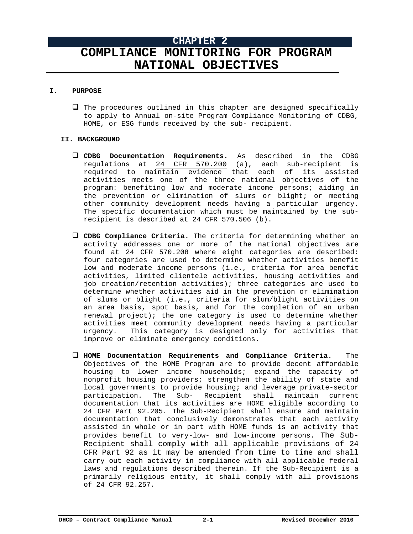# **CHAPTER 2 COMPLIANCE MONITORING FOR PROGRAM NATIONAL OBJECTIVES**

## **I. PURPOSE**

 $\Box$  The procedures outlined in this chapter are designed specifically to apply to Annual on-site Program Compliance Monitoring of CDBG, HOME, or ESG funds received by the sub- recipient.

# **II. BACKGROUND**

- **CDBG Documentation Requirements.** As described in the CDBG regulations at 24 CFR 570.200 (a), each sub-recipient is required to maintain evidence that each of its assisted activities meets one of the three national objectives of the program: benefiting low and moderate income persons; aiding in the prevention or elimination of slums or blight; or meeting other community development needs having a particular urgency. The specific documentation which must be maintained by the subrecipient is described at 24 CFR 570.506 (b).
- **CDBG Compliance Criteria.** The criteria for determining whether an activity addresses one or more of the national objectives are found at 24 CFR 570.208 where eight categories are described: four categories are used to determine whether activities benefit low and moderate income persons (i.e., criteria for area benefit activities, limited clientele activities, housing activities and job creation/retention activities); three categories are used to determine whether activities aid in the prevention or elimination of slums or blight (i.e., criteria for slum/blight activities on an area basis, spot basis, and for the completion of an urban renewal project); the one category is used to determine whether activities meet community development needs having a particular urgency. This category is designed only for activities that improve or eliminate emergency conditions.
- **HOME Documentation Requirements and Compliance Criteria.** The Objectives of the HOME Program are to provide decent affordable housing to lower income households; expand the capacity of nonprofit housing providers; strengthen the ability of state and local governments to provide housing; and leverage private-sector participation. The Sub- Recipient shall maintain current documentation that its activities are HOME eligible according to 24 CFR Part 92.205. The Sub-Recipient shall ensure and maintain documentation that conclusively demonstrates that each activity assisted in whole or in part with HOME funds is an activity that provides benefit to very-low- and low-income persons. The Sub-Recipient shall comply with all applicable provisions of 24 CFR Part 92 as it may be amended from time to time and shall carry out each activity in compliance with all applicable federal laws and regulations described therein. If the Sub-Recipient is a primarily religious entity, it shall comply with all provisions of 24 CFR 92.257.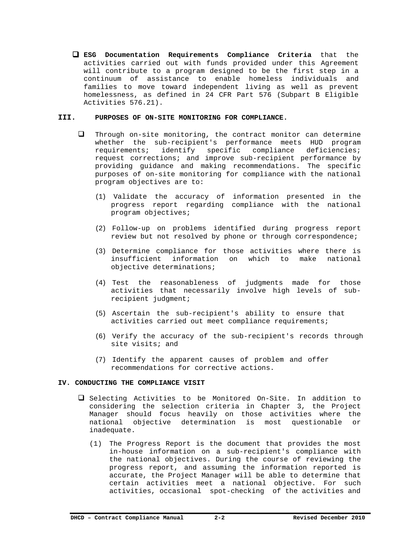**ESG Documentation Requirements Compliance Criteria** that the activities carried out with funds provided under this Agreement will contribute to a program designed to be the first step in a continuum of assistance to enable homeless individuals and families to move toward independent living as well as prevent homelessness, as defined in 24 CFR Part 576 (Subpart B Eligible Activities 576.21).

## **III. PURPOSES OF ON-SITE MONITORING FOR COMPLIANCE.**

- $\Box$  Through on-site monitoring, the contract monitor can determine whether the sub-recipient's performance meets HUD program requirements; identify specific compliance deficiencies; request corrections; and improve sub-recipient performance by providing guidance and making recommendations. The specific purposes of on-site monitoring for compliance with the national program objectives are to:
	- (1) Validate the accuracy of information presented in the progress report regarding compliance with the national program objectives;
	- (2) Follow-up on problems identified during progress report review but not resolved by phone or through correspondence;
	- (3) Determine compliance for those activities where there is insufficient information on which to make national objective determinations;
	- (4) Test the reasonableness of judgments made for those activities that necessarily involve high levels of subrecipient judgment;
	- (5) Ascertain the sub-recipient's ability to ensure that activities carried out meet compliance requirements;
	- (6) Verify the accuracy of the sub-recipient's records through site visits; and
	- (7) Identify the apparent causes of problem and offer recommendations for corrective actions.

#### **IV. CONDUCTING THE COMPLIANCE VISIT**

- Selecting Activities to be Monitored On-Site. In addition to considering the selection criteria in Chapter 3, the Project Manager should focus heavily on those activities where the national objective determination is most questionable or inadequate.
	- (1) The Progress Report is the document that provides the most in-house information on a sub-recipient's compliance with the national objectives. During the course of reviewing the progress report, and assuming the information reported is accurate, the Project Manager will be able to determine that certain activities meet a national objective. For such activities, occasional spot-checking of the activities and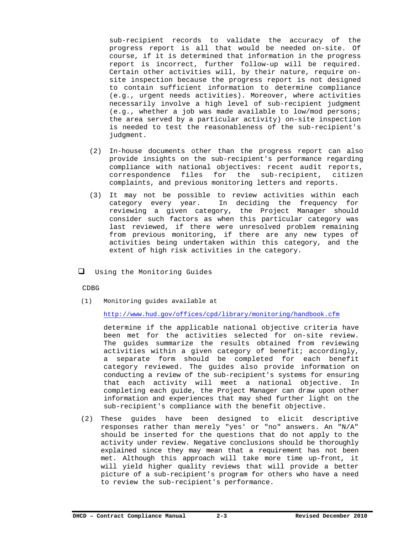sub-recipient records to validate the accuracy of the progress report is all that would be needed on-site. Of course, if it is determined that information in the progress report is incorrect, further follow-up will be required. Certain other activities will, by their nature, require onsite inspection because the progress report is not designed to contain sufficient information to determine compliance (e.g., urgent needs activities). Moreover, where activities necessarily involve a high level of sub-recipient judgment (e.g., whether a job was made available to low/mod persons; the area served by a particular activity) on-site inspection is needed to test the reasonableness of the sub-recipient's judgment.

- (2) In-house documents other than the progress report can also provide insights on the sub-recipient's performance regarding compliance with national objectives: recent audit reports, correspondence files for the sub-recipient, citizen complaints, and previous monitoring letters and reports.
- (3) It may not be possible to review activities within each category every year. In deciding the frequency for reviewing a given category, the Project Manager should consider such factors as when this particular category was last reviewed, if there were unresolved problem remaining from previous monitoring, if there are any new types of activities being undertaken within this category, and the extent of high risk activities in the category.
- U Using the Monitoring Guides

CDBG

(1) Monitoring guides available at

http://www.hud.gov/offices/cpd/library/monitoring/handbook.cfm

determine if the applicable national objective criteria have been met for the activities selected for on-site review. The guides summarize the results obtained from reviewing activities within a given category of benefit; accordingly, a separate form should be completed for each benefit category reviewed. The guides also provide information on conducting a review of the sub-recipient's systems for ensuring that each activity will meet a national objective. In completing each guide, the Project Manager can draw upon other information and experiences that may shed further light on the sub-recipient's compliance with the benefit objective.

(2) These guides have been designed to elicit descriptive responses rather than merely "yes' or "no" answers. An "N/A" should be inserted for the questions that do not apply to the activity under review. Negative conclusions should be thoroughly explained since they may mean that a requirement has not been met. Although this approach will take more time up-front, it will yield higher quality reviews that will provide a better picture of a sub-recipient's program for others who have a need to review the sub-recipient's performance.